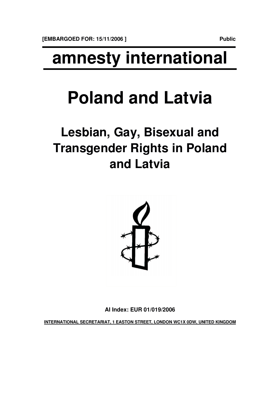# **amnesty international**

# **Poland and Latvia**

## **Lesbian, Gay, Bisexual and Transgender Rights in Poland and Latvia**



**AI Index: EUR 01/019/2006**

**INTERNATIONAL SECRETARIAT, 1 EASTON STREET, LONDON WC1X 0DW, UNITED KINGDOM**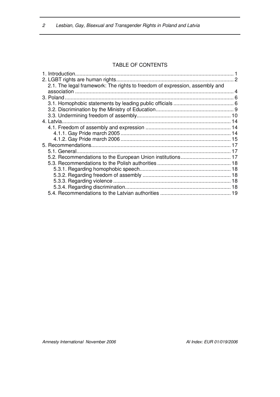#### TABLE OF CONTENTS

|  | 2.1. The legal framework: The rights to freedom of expression, assembly and |  |
|--|-----------------------------------------------------------------------------|--|
|  |                                                                             |  |
|  |                                                                             |  |
|  |                                                                             |  |
|  |                                                                             |  |
|  |                                                                             |  |
|  |                                                                             |  |
|  |                                                                             |  |
|  |                                                                             |  |
|  |                                                                             |  |
|  |                                                                             |  |
|  |                                                                             |  |
|  |                                                                             |  |
|  |                                                                             |  |
|  |                                                                             |  |
|  |                                                                             |  |
|  |                                                                             |  |
|  |                                                                             |  |
|  |                                                                             |  |
|  |                                                                             |  |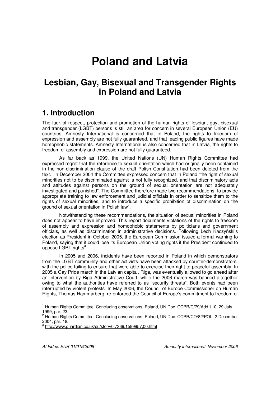## **Poland and Latvia**

## **Lesbian, Gay, Bisexual and Transgender Rights in Poland and Latvia**

## **1. Introduction**

The lack of respect, protection and promotion of the human rights of lesbian, gay, bisexual and transgender (LGBT) persons is still an area for concern in several European Union (EU) countries. Amnesty International is concerned that in Poland, the rights to freedom of expression and assembly are not fully guaranteed, and that leading public figures have made homophobic statements. Amnesty International is also concerned that in Latvia, the rights to freedom of assembly and expression are not fully guaranteed.

As far back as 1999, the United Nations (UN) Human Rights Committee had expressed regret that the reference to sexual orientation which had originally been contained in the non-discrimination clause of the draft Polish Constitution had been deleted from the text.<sup>1</sup> In December 2004 the Committee expressed concern that in Poland "the right of sexual minorities not to be discriminated against is not fully recognized, and that discriminatory acts and attitudes against persons on the ground of sexual orientation are not adequately investigated and punished". The Committee therefore made two recommendations: to provide appropriate training to law enforcement and judicial officials in order to sensitize them to the rights of sexual minorities, and to introduce a specific prohibition of discrimination on the ground of sexual orientation in Polish law<sup>2</sup>.

Notwithstanding these recommendations, the situation of sexual minorities in Poland does not appear to have improved. This report documents violations of the rights to freedom of assembly and expression and homophobic statements by politicians and government officials, as well as discrimination in administrative decisions. Following Lech Kaczyński's election as President in October 2005, the European Commission issued a formal warning to Poland, saying that it could lose its European Union voting rights if the President continued to oppose LGBT rights<sup>3</sup>.

In 2005 and 2006, incidents have been reported in Poland in which demonstrators from the LGBT community and other activists have been attacked by counter-demonstrators, with the police failing to ensure that were able to exercise their right to peaceful assembly. In 2005 a Gay Pride march in the Latvian capital, Riga, was eventually allowed to go ahead after an intervention by Riga Administrative Court, while the 2006 march was banned altogether owing to what the authorities have referred to as "security threats". Both events had been interrupted by violent protests. In May 2006, the Council of Europe Commissioner on Human Rights, Thomas Hammarberg, re-enforced the Council of Europe's commitment to freedom of

<sup>&</sup>lt;sup>1</sup> Human Rights Committee, Concluding observations: Poland, UN Doc. CCPR/C/79/Add.110, 29 July 1999, par. 23.

<sup>&</sup>lt;sup>2</sup> Human Rights Committee, Concluding observations: Poland, UN Doc. CCPR/CO/82/POL, 2 December 2004, par. 18.

<sup>3</sup> http://www.guardian.co.uk/eu/story/0,7369,1599957,00.html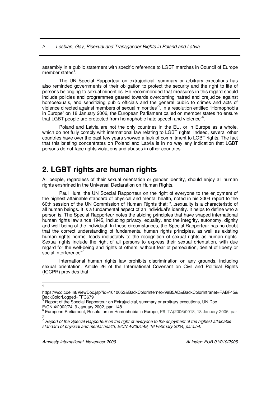assembly in a public statement with specific reference to LGBT marches in Council of Europe member states<sup>4</sup>.

The UN Special Rapporteur on extrajudicial, summary or arbitrary executions has also reminded governments of their obligation to protect the security and the right to life of persons belonging to sexual minorities. He recommended that measures in this regard should include policies and programmes geared towards overcoming hatred and prejudice against homosexuals, and sensitizing public officials and the general public to crimes and acts of violence directed against members of sexual minorities"<sup>5</sup>. In a resolution entitled "Homophobia in Europe" on 18 January 2006, the European Parliament called on member states "to ensure that LGBT people are protected from homophobic hate speech and violence"<sup>6</sup>.

Poland and Latvia are not the only countries in the EU, or in Europe as a whole. which do not fully comply with international law relating to LGBT rights. Indeed, several other countries have over the past few years showed a lack of commitment to LGBT rights. The fact that this briefing concentrates on Poland and Latvia is in no way any indication that LGBT persons do not face rights violations and abuses in other countries.

## **2. LGBT rights are human rights**

All people, regardless of their sexual orientation or gender identity, should enjoy all human rights enshrined in the Universal Declaration on Human Rights.

Paul Hunt, the UN Special Rapporteur on the right of everyone to the enjoyment of the highest attainable standard of physical and mental health, noted in his 2004 report to the 60th session of the UN Commission of Human Rights that: "...sexuality is a characteristic of all human beings. It is a fundamental aspect of an individual's identity. It helps to define who a person is. The Special Rapporteur notes the abiding principles that have shaped international human rights law since 1945, including privacy, equality, and the integrity, autonomy, dignity and well-being of the individual. In these circumstances, the Special Rapporteur has no doubt that the correct understanding of fundamental human rights principles, as well as existing human rights norms, leads ineluctably to the recognition of sexual rights as human rights. Sexual rights include the right of all persons to express their sexual orientation, with due regard for the well-being and rights of others, without fear of persecution, denial of liberty or social interference"<sup>7</sup>.

International human rights law prohibits discrimination on any grounds, including sexual orientation. Article 26 of the International Covenant on Civil and Political Rights (ICCPR) provides that:

<sup>4</sup>

https://wcd.coe.int/ViewDoc.jsp?id=1010053&BackColorInternet=99B5AD&BackColorIntranet=FABF45& BackColorLogged=FFC679

<sup>&</sup>lt;sup>5</sup> Report of the Special Rapporteur on Extrajudicial, summary or arbitrary executions, UN Doc. E/CN.4/2002/74, 9 January 2002, par. 148.

<sup>6</sup> European Parliament, Resolution on Homophobia in Europe, P6\_TA(2006)0018, 18 January 2006, par 2.

Report of the Special Rapporteur on the right of everyone to the enjoyment of the highest attainable *standard of physical and mental health, E/CN.4/2004/49, 16 February 2004, para.54.*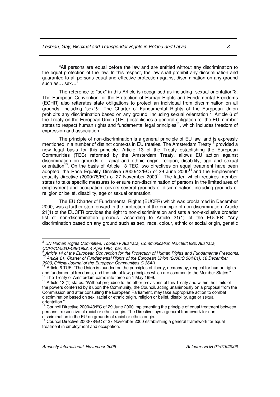"All persons are equal before the law and are entitled without any discrimination to the equal protection of the law. In this respect, the law shall prohibit any discrimination and guarantee to all persons equal and effective protection against discrimination on any ground such as… sex…"

The reference to "sex" in this Article is recognised as including "sexual orientation"8. The European Convention for the Protection of Human Rights and Fundamental Freedoms (ECHR) also reiterates state obligations to protect an individual from discrimination on all grounds, including "sex" 9. The Charter of Fundamental Rights of the European Union prohibits any discrimination based on any ground, including sexual orientation<sup>10</sup>. Article 6 of the Treaty on the European Union (TEU) establishes a general obligation for the EU member states to respect human rights and fundamental legal principles<sup>11</sup>, which includes freedom of expression and association.

The principle of non-discrimination is a general principle of EU law, and is expressly mentioned in a number of distinct contexts in EU treaties. The Amsterdam Treaty<sup>12</sup> provided a new legal basis for this principle. Article 13 of the Treaty establishing the European Communities (TEC) reformed by the Amsterdam Treaty, allows EU action against discrimination on grounds of racial and ethnic origin, religion, disability, age and sexual orientation<sup>13</sup>. On the basis of Article 13 TEC, two directives on equal treatment have been adopted: the Race Equality Directive (2000/43/EC) of 29 June 2000<sup>14</sup> and the Employment equality directive (2000/78/EC) of 27 November 2000<sup>15</sup>. The latter, which requires member states to take specific measures to ensure non-discrimination of persons in the limited area of employment and occupation, covers several grounds of discrimination, including grounds of religion or belief, disability, age or sexual orientation.

The EU Charter of Fundamental Rights (EUCFR) which was proclaimed in December 2000, was a further step forward in the protection of the principle of non-discrimination. Article 21(1) of the EUCFR provides the right to non-discrimination and sets a non-exclusive broader list of non-discrimination grounds. According to Article 21(1) of the EUCFR: "Any discrimination based on any ground such as sex, race, colour, ethnic or social origin, genetic

*<sup>8</sup> UN Human Rights Committee, Toonen v Australia, Communication No.488/1992: Australia, CCPR/C/50/D/488/1992, 4 April 1994, par. 8.7.*

*<sup>9</sup> Article 14 of the European Convention for the Protection of Human Rights and Fundamental Freedoms. <sup>10</sup> Article 21, Charter of Fundamental Rights of the European Union (2000/C 364/01), 18 December 2000, Official Journal of the European Communities C 364/1.*

<sup>&</sup>lt;sup>11</sup> Article 6 TUE: "The Union is founded on the principles of liberty, democracy, respect for human rights and fundamental freedoms, and the rule of law, principles which are common to the Member States." 12 The Treaty of Amsterdam came into force on 1 May 1999.

<sup>&</sup>lt;sup>13</sup> Article 13 (1) states: "Without prejudice to the other provisions of this Treaty and within the limits of the powers conferred by it upon the Community, the Council, acting unanimously on a proposal from the Commission and after consulting the European Parliament, may take appropriate action to combat discrimination based on sex, racial or ethnic origin, religion or belief, disability, age or sexual orientation."

Council Directive 2000/43/EC of 29 June 2000 implementing the principle of equal treatment between persons irrespective of racial or ethnic origin. The Directive lays a general framework for nondiscrimination in the EU on grounds of racial or ethnic origin.

<sup>&</sup>lt;sup>15</sup> Council Directive 2000/78/EC of 27 November 2000 establishing a general framework for equal treatment in employment and occupation.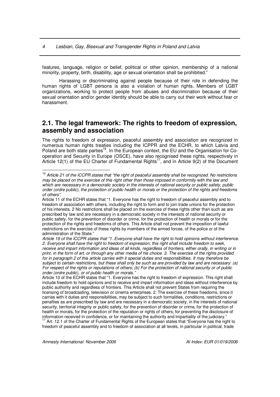features, language, religion or belief, political or other opinion, membership of a national minority, property, birth, disability, age or sexual orientation shall be prohibited."

Harassing or discriminating against people because of their role in defending the human rights of LGBT persons is also a violation of human rights. Members of LGBT organizations, working to protect people from abuses and discrimination because of their sexual orientation and/or gender identity should be able to carry out their work without fear or harassment.

#### **2.1. The legal framework: The rights to freedom of expression, assembly and association**

The rights to freedom of expression, peaceful assembly and association are recognized in numerous human rights treaties including the ICPPR and the ECHR, to which Latvia and Poland are both state parties<sup>16</sup>. In the European context, the EU and the Organisation for Cooperation and Security in Europe (OSCE), have also recognised these rights, respectively in Article 12(1) of the EU Charter of Fundamental Rights<sup>17</sup>, and in Article 9(2) of the Document

Article 10 of the ECHR states that "1. Everyone has the right to freedom of expression. This right shall include freedom to hold opinions and to receive and impart information and ideas without interference by public authority and regardless of frontiers. This Article shall not prevent States from requiring the licensing of broadcasting, television or cinema enterprises. 2. The exercise of these freedoms, since it carries with it duties and responsibilities, may be subject to such formalities, conditions, restrictions or penalties as are prescribed by law and are necessary in a democratic society, in the interests of national security, territorial integrity or public safety, for the prevention of disorder or crime, for the protection of health or morals, for the protection of the reputation or rights of others, for preventing the disclosure of information received in confidence, or for maintaining the authority and impartiality of the judiciary." <sup>17</sup> Art. 12.1 of the Charter of Fundamental Rights of the European states that "Everyone has the right to

freedom of peaceful assembly and to freedom of association at all levels, in particular in political, trade

<sup>&</sup>lt;sup>16</sup> Article 21 of the ICCPR states that "the right of peaceful assembly shall be recognized. No restrictions may be placed on the exercise of this right other than those imposed in conformity with the law and which are necessary in a democratic society in the interests of national security or public safety, public order (ordre public), the protection of public health or morals or the protection of the rights and freedoms *of others".*

Article 11 of the ECHR states that "1. Everyone has the right to freedom of peaceful assembly and to freedom of association with others, including the right to form and to join trade unions for the protection of his interests. 2 No restrictions shall be placed on the exercise of these rights other than such as are prescribed by law and are necessary in a democratic society in the interests of national security or public safety, for the prevention of disorder or crime, for the protection of health or morals or for the protection of the rights and freedoms of others. This Article shall not prevent the imposition of lawful restrictions on the exercise of these rights by members of the armed forces, of the police or of the administration of the State."

Article 19 of the ICCPR states that "1. Evervone shall have the right to hold opinions without interference. *2. Everyone shall have the right to freedom of expression; this right shall include freedom to seek,* receive and impart information and ideas of all kinds, regardless of frontiers, either orally, in writing or in print, in the form of art, or through any other media of his choice. 3. The exercise of the rights provided for in paragraph 2 of this article carries with it special duties and responsibilities. It may therefore be subject to certain restrictions, but these shall only be such as are provided by law and are necessary: (a) For respect of the rights or reputations of others; (b) For the protection of national security or of public *order (ordre public), or of public health or morals."*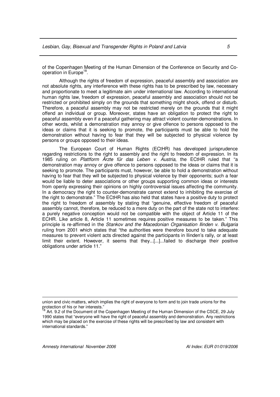of the Copenhagen Meeting of the Human Dimension of the Conference on Security and Cooperation in Europe<sup>18</sup>.

Although the rights of freedom of expression, peaceful assembly and association are not absolute rights, any interference with these rights has to be prescribed by law, necessary and proportionate to meet a legitimate aim under international law. According to international human rights law, freedom of expression, peaceful assembly and association should not be restricted or prohibited simply on the grounds that something might shock, offend or disturb. Therefore, a peaceful assembly may not be restricted merely on the grounds that it might offend an individual or group. Moreover, states have an obligation to protect the right to peaceful assembly even if a peaceful gathering may attract violent counter-demonstrations. In other words, whilst a demonstration may annoy or give offence to persons opposed to the ideas or claims that it is seeking to promote, the participants must be able to hold the demonstration without having to fear that they will be subjected to physical violence by persons or groups opposed to their ideas.

The European Court of Human Rights (ECtHR) has developed jurisprudence regarding restrictions to the right to assembly and the right to freedom of expression. In its 1985 ruling on *Plattform Ärzte für das Leben v. Austria*, the ECtHR ruled that "a demonstration may annoy or give offence to persons opposed to the ideas or claims that it is seeking to promote. The participants must, however, be able to hold a demonstration without having to fear that they will be subjected to physical violence by their opponents; such a fear would be liable to deter associations or other groups supporting common ideas or interests from openly expressing their opinions on highly controversial issues affecting the community. In a democracy the right to counter-demonstrate cannot extend to inhibiting the exercise of the right to demonstrate." The ECtHR has also held that states have a positive duty to protect the right to freedom of assembly by stating that "genuine, effective freedom of peaceful assembly cannot, therefore, be reduced to a mere duty on the part of the state not to interfere: a purely negative conception would not be compatible with the object of Article 11 of the ECHR. Like article 8, Article 11 sometimes requires positive measures to be taken." This principle is re-affirmed in the *Stankov and the Macedonian Organisation Ilinden v. Bulgaria* ruling from 2001 which states that "the authorities were therefore bound to take adequate measures to prevent violent acts directed against the participants in Ilinden's rally, or at least limit their extent. However, it seems that they...[...]...failed to discharge their positive obligations under article 11."

union and civic matters, which implies the right of everyone to form and to join trade unions for the protection of his or her interests."

Art. 9.2 of the Document of the Copenhagen Meeting of the Human Dimension of the CSCE, 29 July 1990 states that "everyone will have the right of peaceful assembly and demonstration. Any restrictions which may be placed on the exercise of these rights will be prescribed by law and consistent with international standards."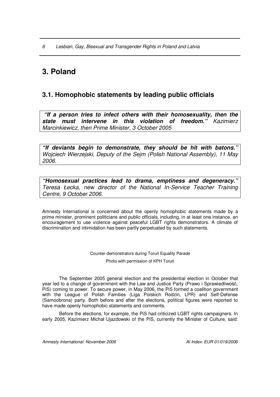## **3. Poland**

## **3.1. Homophobic statements by leading public officials**

*"If a person tries to infect others with their homosexuality, then the state must intervene in this violation of freedom." Kazimierz Marcinkiewicz, then Prime Minister, 3 October 2005*

*"If deviants begin to demonstrate, they should be hit with batons." Wojciech Wierzejski, Deputy of the Sejm (Polish National Assembly), 11 May 2006.*

*"Homosexual practices lead to drama, emptiness and degeneracy." Teresa Łecka, new director of the National In-Service Teacher Training Centre, 9 October 2006.*

Amnesty International is concerned about the openly homophobic statements made by a prime minister, prominent politicians and public officials, including, in at least one instance, an encouragement to use violence against peaceful LGBT rights demonstrators. A climate of discrimination and intimidation has been partly perpetuated by such statements.

Counter-demonstrators during Toruń Equality Parade

Photo with permission of KPH Toru

The September 2005 general election and the presidential election in October that year led to a change of government with the Law and Justice Party (Prawo i Sprawiedliwość, PiS) coming to power. To secure power, in May 2006, the PiS formed a coalition government with the League of Polish Families (Liga Polskich Rodzin, LPR) and Self-Defense (Samoobrona) party. Both before and after the elections, political figures were reported to have made openly homophobic statements and comments.

Before the elections, for example, the PiS had criticized LGBT rights campaigners. In early 2005, Kazimierz Michał Ujazdowski of the PiS, currently the Minister of Culture, said: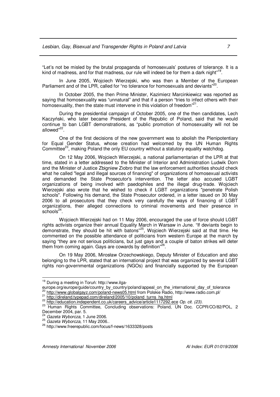"Let's not be misled by the brutal propaganda of homosexuals' postures of tolerance. It is a kind of madness, and for that madness, our rule will indeed be for them a dark night"<sup>19</sup>.

In June 2005, Wojciech Wierzejski, who was then a Member of the European Parliament and of the LPR, called for "no tolerance for homosexuals and deviants"<sup>20</sup>.

In October 2005, the then Prime Minister, Kazimierz Marcinkiewicz was reported as saying that homosexuality was "unnatural" and that if a person "tries to infect others with their homosexuality, then the state must intervene in this violation of freedom"<sup>21</sup>.

During the presidential campaign of October 2005, one of the then candidates, Lech Kaczyński, who later became President of the Republic of Poland, said that he would continue to ban LGBT demonstrations, as "public promotion of homosexuality will not be allowed"<sup>22</sup>.

One of the first decisions of the new government was to abolish the Plenipotentiary for Equal Gender Status, whose creation had welcomed by the UN Human Rights Committee<sup>23</sup>, making Poland the only EU country without a statutory equality watchdog.

On 12 May 2006, Wojciech Wierzejski, a national parliamentarian of the LPR at that time, stated in a letter addressed to the Minister of Interior and Administration Ludwik Dorn and the Minister of Justice Zbigniew Ziobro that the law enforcement authorities should check what he called "legal and illegal sources of financing" of organizations of homosexual activists and demanded the State Prosecutor's intervention. The letter also accused LGBT organizations of being involved with paedophiles and the illegal drug-trade. Wojciech Wierzejski also wrote that he wished to check if LGBT organizations "penetrate Polish schools". Following his demand, the State Prosecutor ordered, in a letter issued on 30 May 2006 to all prosecutors that they check very carefully the ways of financing of LGBT organizations, their alleged connections to criminal movements and their presence in schools<sup>24</sup>.

Wojciech Wierzejski had on 11 May 2006, encouraged the use of force should LGBT rights activists organize their annual Equality March in Warsaw in June. "If deviants begin to demonstrate, they should be hit with batons"<sup>25</sup>, Wojciech Wierzejski said at that time. He commented on the possible attendance of politicians from western Europe at the march by saying "they are not serious politicians, but just gays and a couple of baton strikes will deter them from coming again. Gays are cowards by definition"<sup>26</sup>.

On 19 May 2006, Mirosław Orzechowskiego, Deputy Minister of Education and also belonging to the LPR, stated that an international project that was organized by several LGBT rights non-governmental organizations (NGOs) and financially supported by the European

<sup>&</sup>lt;sup>19</sup> During a meeting in Toruń: http://www.ilga-

europe.org/europe/guide/country\_by\_country/poland/appeal\_on\_the\_international\_day\_of\_tolerance 20 http://www.globalgayz.com/poland-news05.html from Polskie Radio, http://www.radio.com.pl/

<sup>&</sup>lt;sup>21</sup> http://direland.typepad.com/direland/2005/10/poland\_turns\_ha.html

<sup>22</sup> http://education.independent.co.uk/careers\_advice/article1117292.ece *Op. cit. (23).*

<sup>&</sup>lt;sup>23</sup> Human Rights Committee, Concluding observations: Poland, UN Doc. CCPR/CO/82/POL, 2 December 2004, par. 5.

<sup>24</sup> *Gazeta Wyborcza*, 1 June 2006.

<sup>25</sup> *Gazeta Wyborcza*, 11 May 2006.*.*

<sup>&</sup>lt;sup>26</sup> http://www.freerepublic.com/focus/f-news/1633328/posts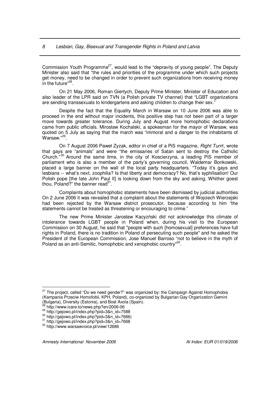Commission Youth Programme<sup>27</sup>, would lead to the "depravity of young people". The Deputy Minister also said that "the rules and priorities of the programme under which such projects get money, need to be changed in order to prevent such organizations from receiving money in the future"<sup>28</sup>.

On 21 May 2006, Roman Giertych, Deputy Prime Minister, Minister of Education and also leader of the LPR said on TVN (a Polish private TV channel) that "LGBT organizations are sending transsexuals to kindergartens and asking children to change their sex."

Despite the fact that the Equality March in Warsaw on 10 June 2006 was able to proceed in the end without major incidents, this positive step has not been part of a larger move towards greater tolerance. During July and August more homophobic declarations came from public officials. Miroslaw Kochalski, a spokesman for the mayor of Warsaw, was quoted on 5 July as saying that the march was "immoral and a danger to the inhabitants of Warsaw." 29 .

On 7 August 2006 Paweł Zyzak, editor in chief of a PiS magazine, *Right Turn*!, wrote that gays are "animals" and were "the emissaries of Satan sent to destroy the Catholic Church.<sup>"30</sup> Around the same time, in the city of Koscierzyna, a leading PiS member of parliament who is also a member of the party's governing council, Waldemar Bonkowski, placed a large banner on the wall of the local party headquarters. "Today it's gays and lesbians -- what's next, zoophilia? Is that liberty and democracy? No, that's syphilisation! Our Polish pope [the late John Paul II] is looking down from the sky and asking, Whither goest thou, Poland?" the banner read<sup>31</sup>.

Complaints about homophobic statements have been dismissed by judicial authorities. On 2 June 2006 it was revealed that a complaint about the statements of Wojciech Wierzejski had been rejected by the Warsaw district prosecutor, because according to him "the statements cannot be treated as threatening or encouraging to crime.'

The new Prime Minister Jarosław Kacyzński did not acknowledge this climate of intolerance towards LGBT people in Poland when, during his visit to the European Commission on 30 August, he said that "people with such [homosexual] preferences have full rights in Poland, there is no tradition in Poland of persecuting such people" and he asked the President of the European Commission, Jose Manuel Barroso "not to believe in the myth of Poland as an anti-Semitic, homophobic and xenophobic country<sup>132</sup>.

<sup>&</sup>lt;sup>27</sup> The project, called "Do we need gender?" was organized by: the Campaign Against Homophobia (Kampania Przeciw Homofobii, KPH, Poland), co-organized by Bulgarian Gay Organization Gemini (Bulgaria), Diversity (Estonia), and Bost Axola (Spain).<br><sup>28</sup> http://www.jeore.to/powe.php?op/2006.06

http://www.icare.to/news.php?en/2006-06

<sup>29</sup> http://gejowo.pl/index.php?pid=3&n\_id=7588

<sup>30</sup> http://gejowo.pl/index.php?pid=3&n\_id=7666)

<sup>31</sup> http://gejowo.pl/index.php?pid=3&n\_id=7668

<sup>32</sup> http://www.warsawvoice.pl/view/12686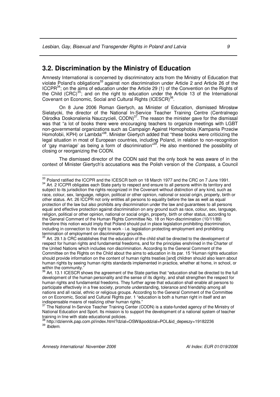#### **3.2. Discrimination by the Ministry of Education**

Amnesty International is concerned by discriminatory acts from the Ministry of Education that violate Poland's obligations<sup>33</sup> against non discrimination under Article 2 and Article 26 of the ICCPR $^{34}$ ; on the aims of education under the Article 29 (1) of the Convention on the Rights of the Child (CRC)<sup>35</sup>; and on the right to education under the Article 13 of the International Covenant on Economic, Social and Cultural Rights (ICESCR)<sup>36</sup>.

On 8 June 2006 Roman Giertych, as Minister of Education, dismissed Mirosław Sielatycki, the director of the National In-Service Teacher Training Centre (Centralnego Ośrodka Doskonalenia Nauczycieli, CODN)<sup>37</sup>. The reason the minister gave for the dismissal was that "a lot of books there were encouraging teachers to organize meetings with LGBT non-governmental organizations such as Campaign Against Homophobia (Kampania Przeciw Homofobii, KPH) or Lambda<sup>38</sup>. Minister Giertych added that "these books were criticizing the legal situation in most of European countries, including Poland, in relation to non-recognition of 'gay marriage' as being a form of discrimination"<sup>39</sup>. He also mentioned the possibility of closing or reorganizing the CODN.

The dismissed director of the CODN said that the only book he was aware of in the context of Minister Giertych's accusations was the Polish version of the *Compass*, a Council

<sup>&</sup>lt;sup>33</sup> Poland ratified the ICCPR and the ICESCR both on 18 March 1977 and the CRC on 7 June 1991.

<sup>&</sup>lt;sup>34</sup> Art. 2 ICCPR obligates each State party to respect and ensure to all persons within its territory and subject to its jurisdiction the rights recognized in the Covenant without distinction of any kind, such as race, colour, sex, language, religion, political or other opinion, national or social origin, property, birth or other status. Art. 26 ICCPR not only entitles all persons to equality before the law as well as equal protection of the law but also prohibits any discrimination under the law and guarantees to all persons equal and effective protection against discrimination on any ground such as race, colour, sex, language, religion, political or other opinion, national or social origin, property, birth or other status, according to the General Comment of the Human Rights Committee No. 18 on Non-discrimination (10/11/89) therefore this notion would imply that Poland should put in place legislation prohibiting discrimination, including in connection to the right to work - i.e. legislation protecting employment and prohibiting termination of employment on discriminatory grounds.

 $35$  Art. 29.1.b CRC establishes that the education of the child shall be directed to the development of respect for human rights and fundamental freedoms, and for the principles enshrined in the Charter of the United Nations which includes non discrimination. According to the General Comment of the Committee on the Rights on the Child about the aims to education in its par. 15 "Human rights education should provide information on the content of human rights treaties [and] children should also learn about human rights by seeing human rights standards implemented in practice, whether at home, in school, or within the community."<br> $36 \, \text{A} + 40 \, \text{A} + 50$ 

Art. 13.1 ICESCR shows the agreement of the State parties that "education shall be directed to the full development of the human personality and the sense of its dignity, and shall strengthen the respect for human rights and fundamental freedoms. They further agree that education shall enable all persons to participate effectively in a free society, promote understanding, tolerance and friendship among all nations and all racial, ethnic or religious groups. According to the General Comment of the Committee on on Economic, Social and Cultural Rights par. 1 "education is both a human right in itself and an

indispensable means of realizing other human rights."<br><sup>37</sup> The National In-Service Teacher Training Center (CODN) is a state-funded agency of the Ministry of National Education and Sport. Its mission is to support the development of a national system of teacher training in line with state educational policies.

<sup>38</sup> http://dziennik.pap.com.pl/index.html?dzial=OSW&poddzial=POL&id\_depeszy=19182236 39 *Ibidem.*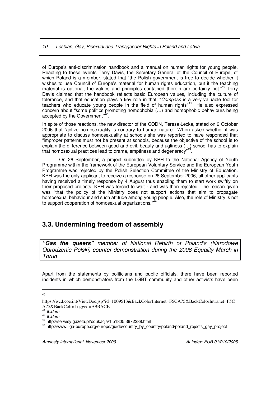of Europe's anti-discrimination handbook and a manual on human rights for young people. Reacting to these events Terry Davis, the Secretary General of the Council of Europe, of which Poland is a member, stated that "the Polish government is free to decide whether it wishes to use Council of Europe's material for human rights education, but if the teaching material is optional, the values and principles contained therein are certainly not."<sup>40</sup> Terry Davis claimed that the handbook reflects basic European values, including the culture of tolerance, and that education plays a key role in that: "*Compass* is a very valuable tool for teachers who educate young people in the field of human rights"<sup>41</sup>. He also expressed concern about "some politics promoting homophobia (…) and homophobic behaviours being accepted by the Government"<sup>42</sup>.

In spite of those reactions, the new director of the CODN, Teresa Łecka, stated on 9 October 2006 that "active homosexuality is contrary to human nature". When asked whether it was appropriate to discuss homosexuality at schools she was reported to have responded that "improper patterns must not be present at schools, because the objective of the school is to explain the difference between good and evil, beauty and ugliness (...) school has to explain<br>that homosexual practices lead to drama, emptiness and degeneracy"<sup>43</sup>. that homosexual practices lead to drama, emptiness and degeneracy"

On 26 September, a project submitted by KPH to the National Agency of Youth Programme within the framework of the European Voluntary Service and the European Youth Programme was rejected by the Polish Selection Committee of the Ministry of Education. KPH was the only applicant to receive a response on 26 September 2006, all other applicants having received a timely response by 4 August thus enabling them to start work swiftly on their proposed projects. KPH was forced to wait - and was then rejected. The reason given was "that the policy of the Ministry does not support actions that aim to propagate homosexual behaviour and such attitude among young people. Also, the role of Ministry is not<br>to auppert econoration of homosoxual ergenizations "<sup>44</sup> to support cooperation of homosexual organizations."

#### **3.3. Undermining freedom of assembly**

*"Gas the queers" member of National Rebirth of Poland's (Narodowe Odrodzenie Polski) counter-demonstration during the 2006 Equality March in Toru*

Apart from the statements by politicians and public officials, there have been reported incidents in which demonstrators from the LGBT community and other activists have been

40

https://wcd.coe.int/ViewDoc.jsp?id=1009513&BackColorInternet=F5CA75&BackColorIntranet=F5C A75&BackColorLogged=A9BACE 41 *Ibidem.*

<sup>42</sup> *Ibidem.*

<sup>43</sup> http://serwisy.gazeta.pl/edukacja/1,51805,3672288.html

<sup>44</sup> http://www.ilga-europe.org/europe/guide/country\_by\_country/poland/poland\_rejects\_gay\_project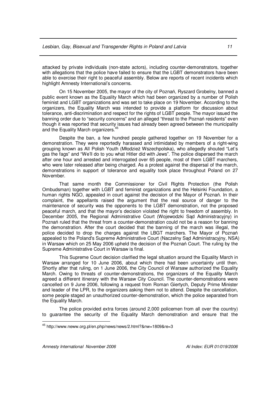attacked by private individuals (non-state actors), including counter-demonstrators, together with allegations that the police have failed to ensure that the LGBT demonstrators have been able to exercise their right to peaceful assembly. Below are reports of recent incidents which highlight Amnesty International's concerns.

On 15 November 2005, the mayor of the city of Poznań, Ryszard Grobelny, banned a public event known as the Equality March which had been organized by a number of Polish feminist and LGBT organizations and was set to take place on 19 November. According to the organizers, the Equality March was intended to provide a platform for discussion about tolerance, anti-discrimination and respect for the rights of LGBT people. The mayor issued the banning order due to "security concerns" and an alleged "threat to the Poznań residents" even though it was reported that security issues had already been agreed between the municipality and the Equality March organizers.<sup>45</sup>

Despite the ban, a few hundred people gathered together on 19 November for a demonstration. They were reportedly harassed and intimidated by members of a right-wing grouping known as All Polish Youth (Młodzież Wszechpolska), who allegedly shouted "Let's gas the fags" and "We'll do to you what Hitler did with Jews". The police dispersed the march after one hour and arrested and interrogated over 65 people, most of them LGBT marchers, who were later released after being charged. As a protest against the dispersal of the march, demonstrations in support of tolerance and equality took place throughout Poland on 27 November.

That same month the Commissioner for Civil Rights Protection (the Polish Ombudsman) together with LGBT and feminist organizations and the Helsinki Foundation, a human rights NGO, appealed in court against the decision of the Mayor of Poznań. In their complaint, the appellants raised the argument that the real source of danger to the maintenance of security was the opponents to the LGBT demonstration, not the proposed peaceful march, and that the mayor's decision violated the right to freedom of assembly. In December 2005, the Regional Administrative Court (Wojewodzki Sad Administracyjny) in Poznań ruled that the threat from a counter-demonstration could not be a reason for banning the demonstration. After the court decided that the banning of the march was illegal, the police decided to drop the charges against the LBGT marchers. The Mayor of Poznań appealed to the Poland's Supreme Administrative Court (Naczelny Sad Administracyjny, NSA) in Warsaw which on 25 May 2006 upheld the decision of the Poznań Court. The ruling by the Supreme Administrative Court in Warsaw is final.

This Supreme Court decision clarified the legal situation around the Equality March in Warsaw arranged for 10 June 2006, about which there had been uncertainty until then. Shortly after that ruling, on 1 June 2006, the City Council of Warsaw authorized the Equality March. Owing to threats of counter-demonstrations, the organizers of the Equality March agreed a different itinerary with the Warsaw City Council. The counter-demonstrations were cancelled on 9 June 2006, following a request from Roman Giertych, Deputy Prime Minister and leader of the LPR, to the organizers asking them not to attend. Despite the cancellation, some people staged an unauthorized counter-demonstration, which the police separated from the Equality March.

The police provided extra forces (around 2,000 policemen from all over the country) to guarantee the security of the Equality March demonstration and ensure that the

<sup>&</sup>lt;sup>45</sup> http://www.neww.org.pl/en.php/news/news/2.html?&nw=1809&re=3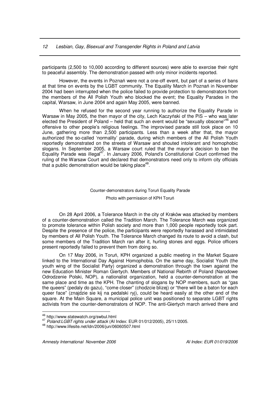participants (2,500 to 10,000 according to different sources) were able to exercise their right to peaceful assembly. The demonstration passed with only minor incidents reported.

However, the events in Poznań were not a one-off event, but part of a series of bans at that time on events by the LGBT community. The Equality March in Poznań in November 2004 had been interrupted when the police failed to provide protection to demonstrators from the members of the All Polish Youth who blocked the event; the Equality Parades in the capital, Warsaw, in June 2004 and again May 2005, were banned.

When he refused for the second year running to authorize the Equality Parade in Warsaw in May 2005, the then mayor of the city, Lech Kaczyński of the PiS – who was later elected the President of Poland - held that such an event would be "sexually obscene"<sup>46</sup> and offensive to other people's religious feelings. The improvised parade still took place on 10 June, gathering more than 2,500 participants. Less than a week after that, the mayor authorized the so-called 'normality' parade, during which members of the All Polish Youth reportedly demonstrated on the streets of Warsaw and shouted intolerant and homophobic slogans. In September 2005, a Warsaw court ruled that the mayor's decision to ban the Equality Parade was illegal<sup>47</sup>. In January 2006, Poland's Constitutional Court confirmed the ruling of the Warsaw Court and declared that demonstrators need only to inform city officials that a public demonstration would be taking place<sup>48</sup>.

#### Counter-demonstrators during Toruń Equality Parade

Photo with permission of KPH Toru

On 28 April 2006, a Tolerance March in the city of Kraków was attacked by members of a counter-demonstration called the Tradition March. The Tolerance March was organized to promote tolerance within Polish society and more than 1,000 people reportedly took part. Despite the presence of the police, the participants were reportedly harassed and intimidated by members of All Polish Youth. The Tolerance March changed its route to avoid a clash, but some members of the Tradition March ran after it, hurling stones and eggs. Police officers present reportedly failed to prevent them from doing so.

On 17 May 2006, in Toruń, KPH organized a public meeting in the Market Square linked to the International Day Against Homophobia. On the same day, Socialist Youth (the youth wing of the Socialist Party) organized a demonstration through the town against the new Education Minister Roman Giertych. Members of National Rebirth of Poland (Narodowe Odrodzenie Polski, NOP), a nationalist organization, held a counter-demonstration at the same place and time as the KPH. The chanting of slogans by NOP members, such as "gas the queers" (pedaly do gazu), "come closer" (chodzcie blizej) or "there will be a baton for each queer face" (znajdzie sie kij na pedalski ryj), could be heard easily at the other end of the square. At the Main Square, a municipal police unit was positioned to separate LGBT rights activists from the counter-demonstrators of NOP. The anti-Giertych march arrived there and

<sup>46</sup> http://www.statewatch.org/swbul.html

<sup>47</sup> *Poland:LGBT rights under attack* (AI Index: EUR 01/012/2005), 25/11/2005.

<sup>48</sup> http://www.lifesite.net/ldn/2006/jun/06060507.html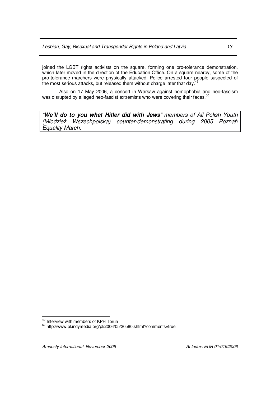joined the LGBT rights activists on the square, forming one pro-tolerance demonstration, which later moved in the direction of the Education Office. On a square nearby, some of the pro-tolerance marchers were physically attacked. Police arrested four people suspected of the most serious attacks, but released them without charge later that day.<sup>49</sup>

Also on 17 May 2006, a concert in Warsaw against homophobia and neo-fascism was disrupted by alleged neo-fascist extremists who were covering their faces.<sup>50</sup>

*"We'll do to you what Hitler did with Jews" members of All Polish Youth (Młodzie*- *Wszechpolska) counter-demonstrating during 2005 Pozna Equality March.*

<sup>&</sup>lt;sup>49</sup> Interview with members of KPH Toruń

<sup>&</sup>lt;sup>50</sup> http://www.pl.indymedia.org/pl/2006/05/20580.shtml?comments=true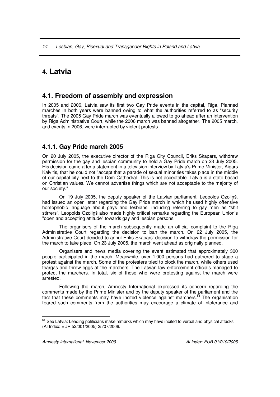## **4. Latvia**

#### **4.1. Freedom of assembly and expression**

In 2005 and 2006, Latvia saw its first two Gay Pride events in the capital, Riga. Planned marches in both years were banned owing to what the authorities referred to as "security threats". The 2005 Gay Pride march was eventually allowed to go ahead after an intervention by Riga Administrative Court, while the 2006 march was banned altogether. The 2005 march, and events in 2006, were interrupted by violent protests

#### **4.1.1. Gay Pride march 2005**

On 20 July 2005, the executive director of the Riga City Council, Eriks Skapars, withdrew permission for the gay and lesbian community to hold a Gay Pride march on 23 July 2005. His decision came after a statement in a television interview by Latvia's Prime Minister, Aigars Kalvitis, that he could not "accept that a parade of sexual minorities takes place in the middle of our capital city next to the Dom Cathedral. This is not acceptable. Latvia is a state based on Christian values. We cannot advertise things which are not acceptable to the majority of our society."

On 19 July 2005, the deputy speaker of the Latvian parliament, Leopolds Ozoliš, had issued an open letter regarding the Gay Pride march in which he used highly offensive homophobic language about gays and lesbians, including referring to gay men as "shit stirrers". Leopolds Ozolinš also made highly critical remarks regarding the European Union's "open and accepting attitude" towards gay and lesbian persons.

The organisers of the march subsequently made an official complaint to the Riga Administrative Court regarding the decision to ban the march. On 22 July 2005, the Administrative Court decided to annul Eriks Skapars' decision to withdraw the permission for the march to take place. On 23 July 2005, the march went ahead as originally planned.

Organisers and news media covering the event estimated that approximately 300 people participated in the march. Meanwhile, over 1,000 persons had gathered to stage a protest against the march. Some of the protesters tried to block the march, while others used teargas and threw eggs at the marchers. The Latvian law enforcement officials managed to protect the marchers. In total, six of those who were protesting against the march were arrested.

Following the march, Amnesty International expressed its concern regarding the comments made by the Prime Minister and by the deputy speaker of the parliament and the fact that these comments may have incited violence against marchers.<sup>51</sup> The organisation feared such comments from the authorities may encourage a climate of intolerance and

<sup>&</sup>lt;sup>51</sup> See Latvia: Leading politicians make remarks which may have incited to verbal and physical attacks (AI Index: EUR 52/001/2005) 25/07/2006.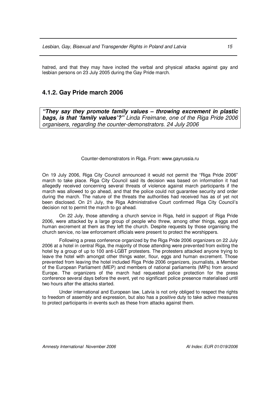hatred, and that they may have incited the verbal and physical attacks against gay and lesbian persons on 23 July 2005 during the Gay Pride march.

#### **4.1.2. Gay Pride march 2006**

*"They say they promote family values – throwing excrement in plastic bags, is that 'family values'?" Linda Freimane, one of the Riga Pride 2006 organisers, regarding the counter-demonstrators. 24 July 2006*

#### Counter-demonstrators in Riga. From: www.gayrussia.ru

On 19 July 2006, Riga City Council announced it would not permit the "Riga Pride 2006" march to take place. Riga City Council said its decision was based on information it had allegedly received concerning several threats of violence against march participants if the march was allowed to go ahead, and that the police could not guarantee security and order during the march. The nature of the threats the authorities had received has as of yet not been disclosed. On 21 July, the Riga Administrative Court confirmed Riga City Council's decision not to permit the march to go ahead.

On 22 July, those attending a church service in Riga, held in support of Riga Pride 2006, were attacked by a large group of people who threw, among other things, eggs and human excrement at them as they left the church. Despite requests by those organising the church service, no law enforcement officials were present to protect the worshippers.

Following a press conference organized by the Riga Pride 2006 organizers on 22 July 2006 at a hotel in central Riga, the majority of those attending were prevented from exiting the hotel by a group of up to 100 anti-LGBT protesters. The protesters attacked anyone trying to leave the hotel with amongst other things water, flour, eggs and human excrement. Those prevented from leaving the hotel included Riga Pride 2006 organizers, journalists, a Member of the European Parliament (MEP) and members of national parliaments (MPs) from around Europe. The organizers of the march had requested police protection for the press conference several days before the event, yet no significant police presence materialised until two hours after the attacks started.

Under international and European law, Latvia is not only obliged to respect the rights to freedom of assembly and expression, but also has a positive duty to take active measures to protect participants in events such as these from attacks against them.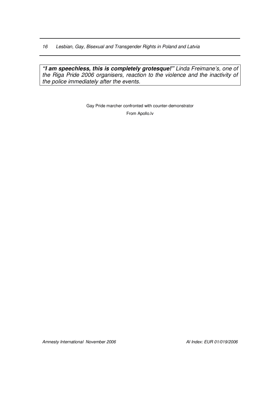*"I am speechless, this is completely grotesque!" Linda Freimane's, one of the Riga Pride 2006 organisers, reaction to the violence and the inactivity of the police immediately after the events.*

> Gay Pride marcher confronted with counter-demonstrator From Apollo.lv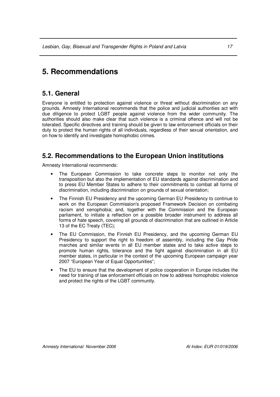## **5. Recommendations**

#### **5.1. General**

Everyone is entitled to protection against violence or threat without discrimination on any grounds. Amnesty International recommends that the police and judicial authorities act with due diligence to protect LGBT people against violence from the wider community. The authorities should also make clear that such violence is a criminal offence and will not be tolerated. Specific directives and training should be given to law enforcement officials on their duty to protect the human rights of all individuals, regardless of their sexual orientation, and on how to identify and investigate homophobic crimes.

#### **5.2. Recommendations to the European Union institutions**

Amnesty International recommends:

- The European Commission to take concrete steps to monitor not only the transposition but also the implementation of EU standards against discrimination and to press EU Member States to adhere to their commitments to combat all forms of discrimination, including discrimination on grounds of sexual orientation;
- The Finnish EU Presidency and the upcoming German EU Presidency to continue to work on the European Commission's proposed Framework Decision on combating racism and xenophobia; and, together with the Commission and the European parliament, to initiate a reflection on a possible broader instrument to address all forms of hate speech, covering all grounds of discrimination that are outlined in Article 13 of the EC Treaty (TEC);
- The EU Commission, the Finnish EU Presidency, and the upcoming German EU Presidency to support the right to freedom of assembly, including the Gay Pride marches and similar events in all EU member states and to take active steps to promote human rights, tolerance and the fight against discrimination in all EU member states, in particular in the context of the upcoming European campaign year 2007 "European Year of Equal Opportunities";
- The EU to ensure that the development of police cooperation in Europe includes the need for training of law enforcement officials on how to address homophobic violence and protect the rights of the LGBT community.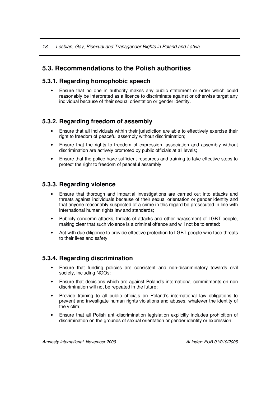*18 Lesbian, Gay, Bisexual and Transgender Rights in Poland and Latvia*

## **5.3. Recommendations to the Polish authorities**

#### **5.3.1. Regarding homophobic speech**

• Ensure that no one in authority makes any public statement or order which could reasonably be interpreted as a licence to discriminate against or otherwise target any individual because of their sexual orientation or gender identity.

#### **5.3.2. Regarding freedom of assembly**

- Ensure that all individuals within their jurisdiction are able to effectively exercise their right to freedom of peaceful assembly without discrimination;
- Ensure that the rights to freedom of expression, association and assembly without discrimination are actively promoted by public officials at all levels;
- Ensure that the police have sufficient resources and training to take effective steps to protect the right to freedom of peaceful assembly.

#### **5.3.3. Regarding violence**

- Ensure that thorough and impartial investigations are carried out into attacks and threats against individuals because of their sexual orientation or gender identity and that anyone reasonably suspected of a crime in this regard be prosecuted in line with international human rights law and standards;
- Publicly condemn attacks, threats of attacks and other harassment of LGBT people, making clear that such violence is a criminal offence and will not be tolerated:
- Act with due diligence to provide effective protection to LGBT people who face threats to their lives and safety.

#### **5.3.4. Regarding discrimination**

- Ensure that funding policies are consistent and non-discriminatory towards civil society, including NGOs:
- Ensure that decisions which are against Poland's international commitments on non discrimination will not be repeated in the future;
- Provide training to all public officials on Poland's international law obligations to prevent and investigate human rights violations and abuses, whatever the identity of the victim;
- Ensure that all Polish anti-discrimination legislation explicitly includes prohibition of discrimination on the grounds of sexual orientation or gender identity or expression;